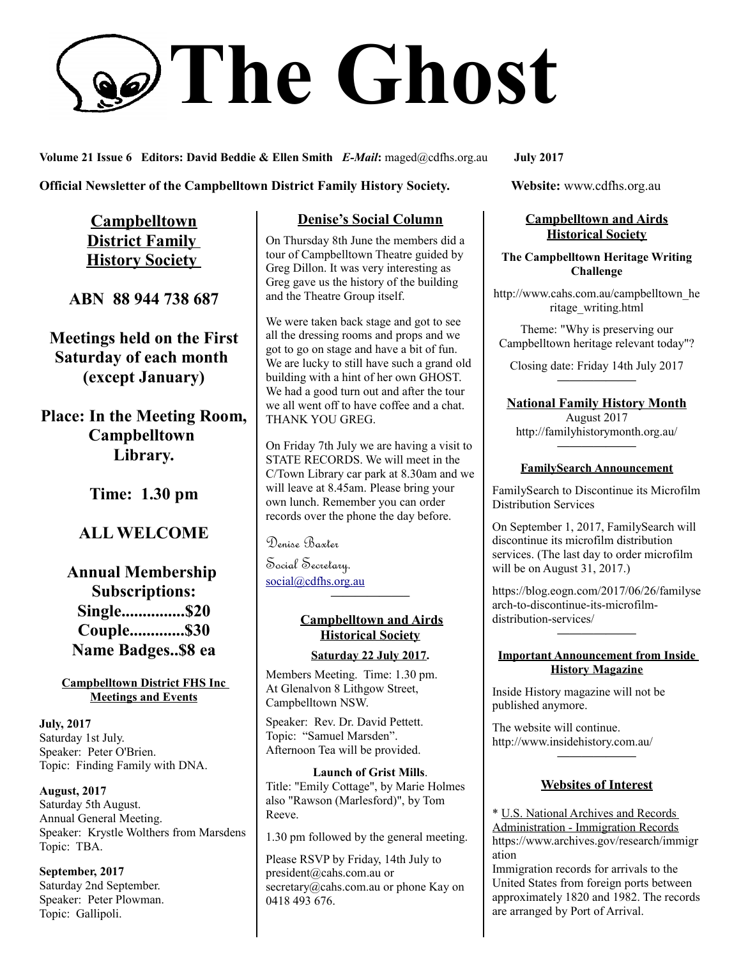# **The Ghost**

**Volume 21 Issue 6 Editors: David Beddie & Ellen Smith** *E-Mail***:** maged@cdfhs.org.au **July 2017**

**Official Newsletter of the Campbelltown District Family History Society. Website: www.cdfhs.org.au** 

**Campbelltown District Family History Society** 

**ABN 88 944 738 687**

**Meetings held on the First Saturday of each month (except January)**

**Place: In the Meeting Room, Campbelltown Library.**

**Time: 1.30 pm**

# **ALL WELCOME**

**Annual Membership Subscriptions: Single...............\$20 Couple.............\$30 Name Badges..\$8 ea**

**Campbelltown District FHS Inc Meetings and Events**

**July, 2017** Saturday 1st July. Speaker: Peter O'Brien. Topic: Finding Family with DNA.

**August, 2017** Saturday 5th August. Annual General Meeting. Speaker: Krystle Wolthers from Marsdens Topic: TBA.

**September, 2017** Saturday 2nd September. Speaker: Peter Plowman. Topic: Gallipoli.

### **Denise's Social Column**

On Thursday 8th June the members did a tour of Campbelltown Theatre guided by Greg Dillon. It was very interesting as Greg gave us the history of the building and the Theatre Group itself.

We were taken back stage and got to see all the dressing rooms and props and we got to go on stage and have a bit of fun. We are lucky to still have such a grand old building with a hint of her own GHOST. We had a good turn out and after the tour we all went off to have coffee and a chat. THANK YOU GREG.

On Friday 7th July we are having a visit to STATE RECORDS. We will meet in the C/Town Library car park at 8.30am and we will leave at 8.45am. Please bring your own lunch. Remember you can order records over the phone the day before.

Denise Baxter

Social Secretary. [social@cdfhs.org.au](mailto:social@cdfhs.org.au)

## **Campbelltown and Airds Historical Society**

**——————–**

#### **Saturday 22 July 2017.**

Members Meeting. Time: 1.30 pm. At Glenalvon 8 Lithgow Street, Campbelltown NSW.

Speaker: Rev. Dr. David Pettett. Topic: "Samuel Marsden". Afternoon Tea will be provided.

**Launch of Grist Mills**. Title: "Emily Cottage", by Marie Holmes also "Rawson (Marlesford)", by Tom Reeve.

1.30 pm followed by the general meeting.

Please RSVP by Friday, 14th July to president@cahs.com.au or secretary@cahs.com.au or phone Kay on 0418 493 676.

### **Campbelltown and Airds Historical Society**

**The Campbelltown Heritage Writing Challenge**

http://www.cahs.com.au/campbelltown\_he ritage\_writing.html

Theme: "Why is preserving our Campbelltown heritage relevant today"?

Closing date: Friday 14th July 2017 **——————–**

**National Family History Month** August 2017 http://familyhistorymonth.org.au/

# **——————– FamilySearch Announcement**

FamilySearch to Discontinue its Microfilm Distribution Services

On September 1, 2017, FamilySearch will discontinue its microfilm distribution services. (The last day to order microfilm will be on August 31, 2017.)

https://blog.eogn.com/2017/06/26/familyse arch-to-discontinue-its-microfilmdistribution-services/

**——————–**

#### **Important Announcement from Inside History Magazine**

Inside History magazine will not be published anymore.

The website will continue. http://www.insidehistory.com.au/

#### **Websites of Interest**

**——————–**

\* U.S. National Archives and Records Administration - Immigration Records https://www.archives.gov/research/immigr ation

Immigration records for arrivals to the United States from foreign ports between approximately 1820 and 1982. The records are arranged by Port of Arrival.